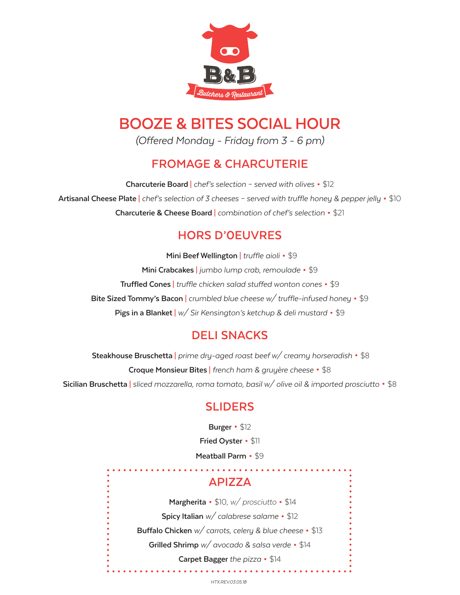

# **BOOZE & BITES SOCIAL HOUR**

*(Offered Monday - Friday from 3 - 6 pm)*

# **FROMAGE & CHARCUTERIE**

**Charcuterie Board** <sup>|</sup>*chef's selection – served with olives* • \$12 **Artisanal Cheese Plate** <sup>|</sup>*chef's selection of 3 cheeses – served with truffle honey & pepper jelly* • \$10 **Charcuterie & Cheese Board** <sup>|</sup>*combination of chef's selection* • \$21

# **HORS D'0EUVRES**

 **Mini Beef Wellington** <sup>|</sup>*truffle aioli*• \$9 **Mini Crabcakes** | *jumbo lump crab, remoulade* • \$9 **Truffled Cones** | *truffle chicken salad stuffed wonton cones* • \$9 **Bite Sized Tommy's Bacon** | *crumbled blue cheese w/ truffle-infused honey* • \$9 **Pigs in a Blanket** | *w/ Sir Kensington's ketchup & deli mustard* • \$9

# **DELI SNACKS**

 **Steakhouse Bruschetta** <sup>|</sup>*prime dry-aged roast beef w/ creamy horseradish* • \$8 **Croque Monsieur Bites** <sup>|</sup>*french ham & gruyère cheese* • \$8 **Sicilian Bruschetta** <sup>|</sup>*sliced mozzarella, roma tomato, basil w/ olive oil & imported prosciutto* • \$8

# **SLIDERS**

 **Burger**• \$12 **Fried Oyster**• \$11 **Meatball Parm** • \$9

# **APIZZA**

 **Margherita** • \$10, *w/ prosciutto* • \$14 **Spicy Italian** *w/ calabrese salame* • \$12 **Buffalo Chicken** *w/ carrots, celery & blue cheese* • \$13 **Grilled Shrimp** *w/ avocado & salsa verde* • \$14 **Carpet Bagger** *the pizza* • \$14